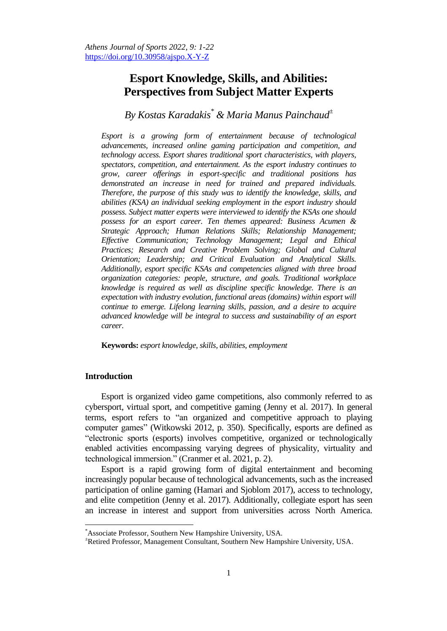# **Esport Knowledge, Skills, and Abilities: Perspectives from Subject Matter Experts**

# *By Kostas Karadakis\* & Maria Manus Painchaud<sup>±</sup>*

*Esport is a growing form of entertainment because of technological advancements, increased online gaming participation and competition, and technology access. Esport shares traditional sport characteristics, with players, spectators, competition, and entertainment. As the esport industry continues to grow, career offerings in esport-specific and traditional positions has demonstrated an increase in need for trained and prepared individuals. Therefore, the purpose of this study was to identify the knowledge, skills, and abilities (KSA) an individual seeking employment in the esport industry should possess. Subject matter experts were interviewed to identify the KSAs one should possess for an esport career. Ten themes appeared: Business Acumen & Strategic Approach; Human Relations Skills; Relationship Management; Effective Communication; Technology Management; Legal and Ethical Practices; Research and Creative Problem Solving; Global and Cultural Orientation; Leadership; and Critical Evaluation and Analytical Skills. Additionally, esport specific KSAs and competencies aligned with three broad organization categories: people, structure, and goals. Traditional workplace knowledge is required as well as discipline specific knowledge. There is an expectation with industry evolution, functional areas (domains) within esport will continue to emerge. Lifelong learning skills, passion, and a desire to acquire advanced knowledge will be integral to success and sustainability of an esport career.*

**Keywords:** *esport knowledge, skills, abilities, employment*

# **Introduction**

 $\overline{\phantom{a}}$ 

Esport is organized video game competitions, also commonly referred to as cybersport, virtual sport, and competitive gaming (Jenny et al. 2017). In general terms, esport refers to "an organized and competitive approach to playing computer games" (Witkowski 2012, p. 350). Specifically, esports are defined as "electronic sports (esports) involves competitive, organized or technologically enabled activities encompassing varying degrees of physicality, virtuality and technological immersion." (Cranmer et al. 2021, p. 2).

Esport is a rapid growing form of digital entertainment and becoming increasingly popular because of technological advancements, such as the increased participation of online gaming (Hamari and Sjoblom 2017), access to technology, and elite competition (Jenny et al. 2017). Additionally, collegiate esport has seen an increase in interest and support from universities across North America.

<sup>\*</sup>Associate Professor, Southern New Hampshire University, USA.

<sup>±</sup>Retired Professor, Management Consultant, Southern New Hampshire University, USA.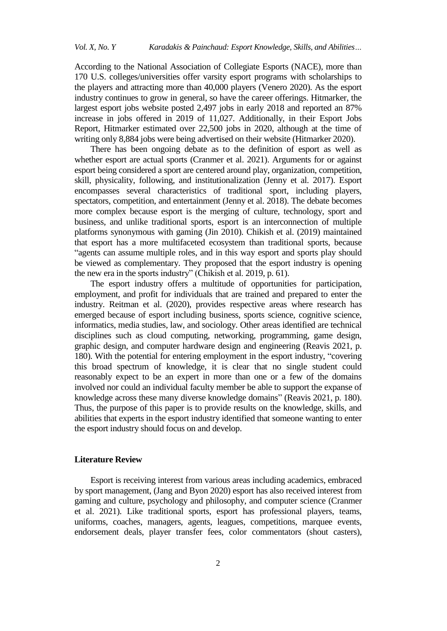According to the National Association of Collegiate Esports (NACE), more than 170 U.S. colleges/universities offer varsity esport programs with scholarships to the players and attracting more than 40,000 players (Venero 2020). As the esport industry continues to grow in general, so have the career offerings. Hitmarker, the largest esport jobs website posted 2,497 jobs in early 2018 and reported an 87% increase in jobs offered in 2019 of 11,027. Additionally, in their Esport Jobs Report, Hitmarker estimated over 22,500 jobs in 2020, although at the time of writing only 8,884 jobs were being advertised on their website (Hitmarker 2020).

There has been ongoing debate as to the definition of esport as well as whether esport are actual sports (Cranmer et al. 2021). Arguments for or against esport being considered a sport are centered around play, organization, competition, skill, physicality, following, and institutionalization (Jenny et al. 2017). Esport encompasses several characteristics of traditional sport, including players, spectators, competition, and entertainment (Jenny et al. 2018). The debate becomes more complex because esport is the merging of culture, technology, sport and business, and unlike traditional sports, esport is an interconnection of multiple platforms synonymous with gaming (Jin 2010). Chikish et al. (2019) maintained that esport has a more multifaceted ecosystem than traditional sports, because "agents can assume multiple roles, and in this way esport and sports play should be viewed as complementary. They proposed that the esport industry is opening the new era in the sports industry" (Chikish et al. 2019, p. 61).

The esport industry offers a multitude of opportunities for participation, employment, and profit for individuals that are trained and prepared to enter the industry. Reitman et al. (2020), provides respective areas where research has emerged because of esport including business, sports science, cognitive science, informatics, media studies, law, and sociology. Other areas identified are technical disciplines such as cloud computing, networking, programming, game design, graphic design, and computer hardware design and engineering (Reavis 2021, p. 180). With the potential for entering employment in the esport industry, "covering this broad spectrum of knowledge, it is clear that no single student could reasonably expect to be an expert in more than one or a few of the domains involved nor could an individual faculty member be able to support the expanse of knowledge across these many diverse knowledge domains" (Reavis 2021, p. 180). Thus, the purpose of this paper is to provide results on the knowledge, skills, and abilities that experts in the esport industry identified that someone wanting to enter the esport industry should focus on and develop.

# **Literature Review**

Esport is receiving interest from various areas including academics, embraced by sport management, (Jang and Byon 2020) esport has also received interest from gaming and culture, psychology and philosophy, and computer science (Cranmer et al. 2021). Like traditional sports, esport has professional players, teams, uniforms, coaches, managers, agents, leagues, competitions, marquee events, endorsement deals, player transfer fees, color commentators (shout casters),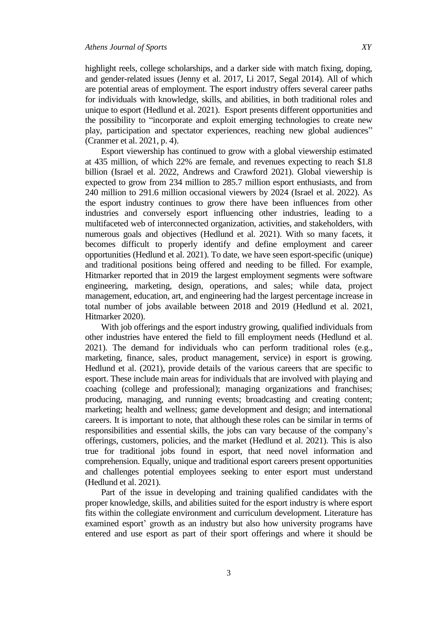highlight reels, college scholarships, and a darker side with match fixing, doping, and gender-related issues (Jenny et al. 2017, Li 2017, Segal 2014). All of which are potential areas of employment. The esport industry offers several career paths for individuals with knowledge, skills, and abilities, in both traditional roles and unique to esport (Hedlund et al. 2021). Esport presents different opportunities and the possibility to "incorporate and exploit emerging technologies to create new play, participation and spectator experiences, reaching new global audiences" (Cranmer et al. 2021, p. 4).

Esport viewership has continued to grow with a global viewership estimated at 435 million, of which 22% are female, and revenues expecting to reach \$1.8 billion (Israel et al. 2022, Andrews and Crawford 2021). Global viewership is expected to grow from 234 million to 285.7 million esport enthusiasts, and from 240 million to 291.6 million occasional viewers by 2024 (Israel et al. 2022). As the esport industry continues to grow there have been influences from other industries and conversely esport influencing other industries, leading to a multifaceted web of interconnected organization, activities, and stakeholders, with numerous goals and objectives (Hedlund et al. 2021). With so many facets, it becomes difficult to properly identify and define employment and career opportunities (Hedlund et al. 2021). To date, we have seen esport-specific (unique) and traditional positions being offered and needing to be filled. For example, Hitmarker reported that in 2019 the largest employment segments were software engineering, marketing, design, operations, and sales; while data, project management, education, art, and engineering had the largest percentage increase in total number of jobs available between 2018 and 2019 (Hedlund et al. 2021, Hitmarker 2020).

With job offerings and the esport industry growing, qualified individuals from other industries have entered the field to fill employment needs (Hedlund et al. 2021). The demand for individuals who can perform traditional roles (e.g., marketing, finance, sales, product management, service) in esport is growing. Hedlund et al. (2021), provide details of the various careers that are specific to esport. These include main areas for individuals that are involved with playing and coaching (college and professional); managing organizations and franchises; producing, managing, and running events; broadcasting and creating content; marketing; health and wellness; game development and design; and international careers. It is important to note, that although these roles can be similar in terms of responsibilities and essential skills, the jobs can vary because of the company's offerings, customers, policies, and the market (Hedlund et al. 2021). This is also true for traditional jobs found in esport, that need novel information and comprehension. Equally, unique and traditional esport careers present opportunities and challenges potential employees seeking to enter esport must understand (Hedlund et al. 2021).

Part of the issue in developing and training qualified candidates with the proper knowledge, skills, and abilities suited for the esport industry is where esport fits within the collegiate environment and curriculum development. Literature has examined esport' growth as an industry but also how university programs have entered and use esport as part of their sport offerings and where it should be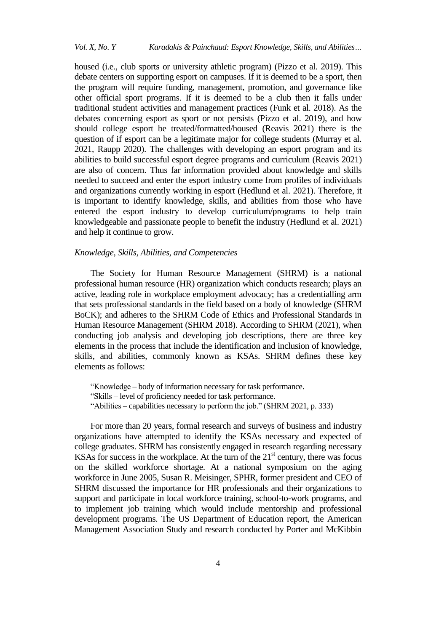housed (i.e., club sports or university athletic program) (Pizzo et al. 2019). This debate centers on supporting esport on campuses. If it is deemed to be a sport, then the program will require funding, management, promotion, and governance like other official sport programs. If it is deemed to be a club then it falls under traditional student activities and management practices (Funk et al. 2018). As the debates concerning esport as sport or not persists (Pizzo et al. 2019), and how should college esport be treated/formatted/housed (Reavis 2021) there is the question of if esport can be a legitimate major for college students (Murray et al. 2021, Raupp 2020). The challenges with developing an esport program and its abilities to build successful esport degree programs and curriculum (Reavis 2021) are also of concern. Thus far information provided about knowledge and skills needed to succeed and enter the esport industry come from profiles of individuals and organizations currently working in esport (Hedlund et al. 2021). Therefore, it is important to identify knowledge, skills, and abilities from those who have entered the esport industry to develop curriculum/programs to help train knowledgeable and passionate people to benefit the industry (Hedlund et al. 2021) and help it continue to grow.

#### *Knowledge, Skills, Abilities, and Competencies*

The Society for Human Resource Management (SHRM) is a national professional human resource (HR) organization which conducts research; plays an active, leading role in workplace employment advocacy; has a credentialling arm that sets professional standards in the field based on a body of knowledge (SHRM BoCK); and adheres to the SHRM Code of Ethics and Professional Standards in Human Resource Management (SHRM 2018). According to SHRM (2021), when conducting job analysis and developing job descriptions, there are three key elements in the process that include the identification and inclusion of knowledge, skills, and abilities, commonly known as KSAs. SHRM defines these key elements as follows:

"Knowledge – body of information necessary for task performance. "Skills – level of proficiency needed for task performance. "Abilities – capabilities necessary to perform the job." (SHRM 2021, p. 333)

For more than 20 years, formal research and surveys of business and industry organizations have attempted to identify the KSAs necessary and expected of college graduates. SHRM has consistently engaged in research regarding necessary KSAs for success in the workplace. At the turn of the  $21<sup>st</sup>$  century, there was focus on the skilled workforce shortage. At a national symposium on the aging workforce in June 2005, Susan R. Meisinger, SPHR, former president and CEO of SHRM discussed the importance for HR professionals and their organizations to support and participate in local workforce training, school-to-work programs, and to implement job training which would include mentorship and professional development programs. The US Department of Education report, the American Management Association Study and research conducted by Porter and McKibbin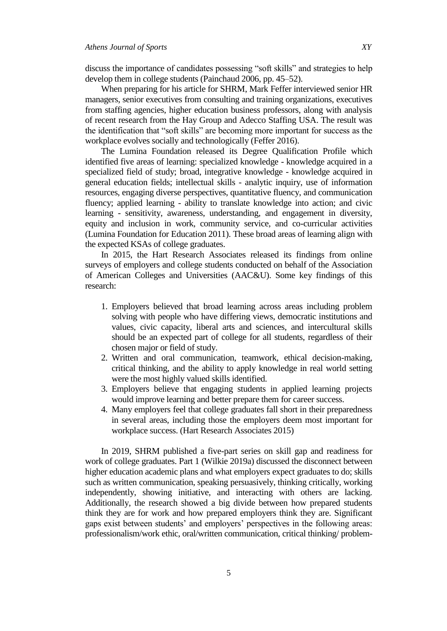discuss the importance of candidates possessing "soft skills" and strategies to help develop them in college students (Painchaud 2006, pp. 45–52).

When preparing for his article for SHRM, Mark Feffer interviewed senior HR managers, senior executives from consulting and training organizations, executives from staffing agencies, higher education business professors, along with analysis of recent research from the Hay Group and Adecco Staffing USA. The result was the identification that "soft skills" are becoming more important for success as the workplace evolves socially and technologically (Feffer 2016).

The Lumina Foundation released its Degree Qualification Profile which identified five areas of learning: specialized knowledge - knowledge acquired in a specialized field of study; broad, integrative knowledge - knowledge acquired in general education fields; intellectual skills - analytic inquiry, use of information resources, engaging diverse perspectives, quantitative fluency, and communication fluency; applied learning - ability to translate knowledge into action; and civic learning - sensitivity, awareness, understanding, and engagement in diversity, equity and inclusion in work, community service, and co-curricular activities (Lumina Foundation for Education 2011). These broad areas of learning align with the expected KSAs of college graduates.

In 2015, the Hart Research Associates released its findings from online surveys of employers and college students conducted on behalf of the Association of American Colleges and Universities (AAC&U). Some key findings of this research:

- 1. Employers believed that broad learning across areas including problem solving with people who have differing views, democratic institutions and values, civic capacity, liberal arts and sciences, and intercultural skills should be an expected part of college for all students, regardless of their chosen major or field of study.
- 2. Written and oral communication, teamwork, ethical decision-making, critical thinking, and the ability to apply knowledge in real world setting were the most highly valued skills identified.
- 3. Employers believe that engaging students in applied learning projects would improve learning and better prepare them for career success.
- 4. Many employers feel that college graduates fall short in their preparedness in several areas, including those the employers deem most important for workplace success. (Hart Research Associates 2015)

In 2019, SHRM published a five-part series on skill gap and readiness for work of college graduates. Part 1 (Wilkie 2019a) discussed the disconnect between higher education academic plans and what employers expect graduates to do; skills such as written communication, speaking persuasively, thinking critically, working independently, showing initiative, and interacting with others are lacking. Additionally, the research showed a big divide between how prepared students think they are for work and how prepared employers think they are. Significant gaps exist between students' and employers' perspectives in the following areas: professionalism/work ethic, oral/written communication, critical thinking/ problem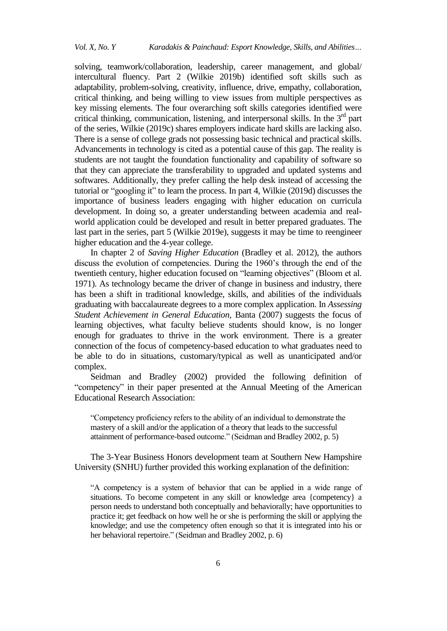solving, teamwork/collaboration, leadership, career management, and global/ intercultural fluency. Part 2 (Wilkie 2019b) identified soft skills such as adaptability, problem-solving, creativity, influence, drive, empathy, collaboration, critical thinking, and being willing to view issues from multiple perspectives as key missing elements. The four overarching soft skills categories identified were critical thinking, communication, listening, and interpersonal skills. In the  $3<sup>rd</sup>$  part of the series, Wilkie (2019c) shares employers indicate hard skills are lacking also. There is a sense of college grads not possessing basic technical and practical skills. Advancements in technology is cited as a potential cause of this gap. The reality is students are not taught the foundation functionality and capability of software so that they can appreciate the transferability to upgraded and updated systems and softwares. Additionally, they prefer calling the help desk instead of accessing the tutorial or "googling it" to learn the process. In part 4, Wilkie (2019d) discusses the importance of business leaders engaging with higher education on curricula development. In doing so, a greater understanding between academia and realworld application could be developed and result in better prepared graduates. The last part in the series, part 5 (Wilkie 2019e), suggests it may be time to reengineer higher education and the 4-year college.

In chapter 2 of *Saving Higher Education* (Bradley et al. 2012), the authors discuss the evolution of competencies. During the 1960's through the end of the twentieth century, higher education focused on "learning objectives" (Bloom et al. 1971). As technology became the driver of change in business and industry, there has been a shift in traditional knowledge, skills, and abilities of the individuals graduating with baccalaureate degrees to a more complex application. In *Assessing Student Achievement in General Education,* Banta (2007) suggests the focus of learning objectives, what faculty believe students should know, is no longer enough for graduates to thrive in the work environment. There is a greater connection of the focus of competency-based education to what graduates need to be able to do in situations, customary/typical as well as unanticipated and/or complex.

Seidman and Bradley (2002) provided the following definition of "competency" in their paper presented at the Annual Meeting of the American Educational Research Association:

"Competency proficiency refers to the ability of an individual to demonstrate the mastery of a skill and/or the application of a theory that leads to the successful attainment of performance-based outcome." (Seidman and Bradley 2002, p. 5)

The 3-Year Business Honors development team at Southern New Hampshire University (SNHU) further provided this working explanation of the definition:

"A competency is a system of behavior that can be applied in a wide range of situations. To become competent in any skill or knowledge area {competency} a person needs to understand both conceptually and behaviorally; have opportunities to practice it; get feedback on how well he or she is performing the skill or applying the knowledge; and use the competency often enough so that it is integrated into his or her behavioral repertoire." (Seidman and Bradley 2002, p. 6)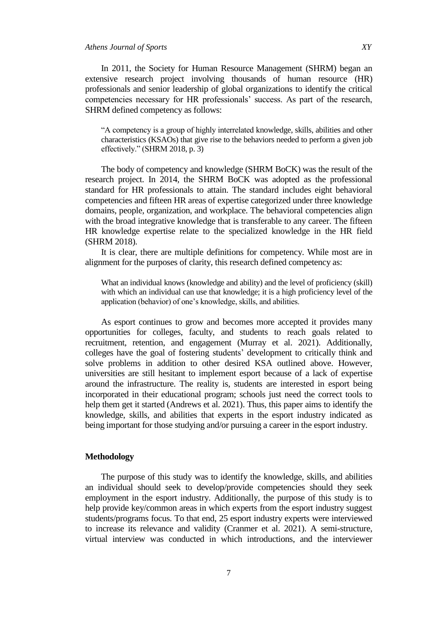### *Athens Journal of Sports XY*

In 2011, the Society for Human Resource Management (SHRM) began an extensive research project involving thousands of human resource (HR) professionals and senior leadership of global organizations to identify the critical competencies necessary for HR professionals' success. As part of the research, SHRM defined competency as follows:

"A competency is a group of highly interrelated knowledge, skills, abilities and other characteristics (KSAOs) that give rise to the behaviors needed to perform a given job effectively." (SHRM 2018, p. 3)

The body of competency and knowledge (SHRM BoCK) was the result of the research project. In 2014, the SHRM BoCK was adopted as the professional standard for HR professionals to attain. The standard includes eight behavioral competencies and fifteen HR areas of expertise categorized under three knowledge domains, people, organization, and workplace. The behavioral competencies align with the broad integrative knowledge that is transferable to any career. The fifteen HR knowledge expertise relate to the specialized knowledge in the HR field (SHRM 2018).

It is clear, there are multiple definitions for competency. While most are in alignment for the purposes of clarity, this research defined competency as:

What an individual knows (knowledge and ability) and the level of proficiency (skill) with which an individual can use that knowledge; it is a high proficiency level of the application (behavior) of one's knowledge, skills, and abilities.

As esport continues to grow and becomes more accepted it provides many opportunities for colleges, faculty, and students to reach goals related to recruitment, retention, and engagement (Murray et al. 2021). Additionally, colleges have the goal of fostering students' development to critically think and solve problems in addition to other desired KSA outlined above. However, universities are still hesitant to implement esport because of a lack of expertise around the infrastructure. The reality is, students are interested in esport being incorporated in their educational program; schools just need the correct tools to help them get it started (Andrews et al. 2021). Thus, this paper aims to identify the knowledge, skills, and abilities that experts in the esport industry indicated as being important for those studying and/or pursuing a career in the esport industry.

#### **Methodology**

The purpose of this study was to identify the knowledge, skills, and abilities an individual should seek to develop/provide competencies should they seek employment in the esport industry. Additionally, the purpose of this study is to help provide key/common areas in which experts from the esport industry suggest students/programs focus. To that end, 25 esport industry experts were interviewed to increase its relevance and validity (Cranmer et al. 2021). A semi-structure, virtual interview was conducted in which introductions, and the interviewer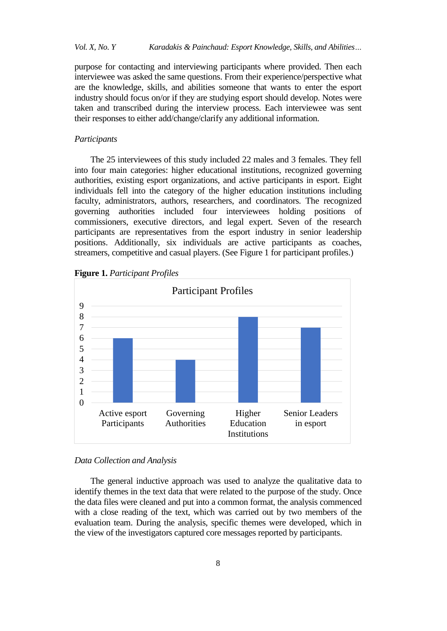# *Vol. X, No. Y Karadakis & Painchaud: Esport Knowledge, Skills, and Abilities…*

purpose for contacting and interviewing participants where provided. Then each interviewee was asked the same questions. From their experience/perspective what are the knowledge, skills, and abilities someone that wants to enter the esport industry should focus on/or if they are studying esport should develop. Notes were taken and transcribed during the interview process. Each interviewee was sent their responses to either add/change/clarify any additional information.

#### *Participants*

The 25 interviewees of this study included 22 males and 3 females. They fell into four main categories: higher educational institutions, recognized governing authorities, existing esport organizations, and active participants in esport. Eight individuals fell into the category of the higher education institutions including faculty, administrators, authors, researchers, and coordinators. The recognized governing authorities included four interviewees holding positions of commissioners, executive directors, and legal expert. Seven of the research participants are representatives from the esport industry in senior leadership positions. Additionally, six individuals are active participants as coaches, streamers, competitive and casual players. (See Figure 1 for participant profiles.)



Governing Authorities

**Figure 1.** *Participant Profiles*

#### *Data Collection and Analysis*

Active esport Participants

The general inductive approach was used to analyze the qualitative data to identify themes in the text data that were related to the purpose of the study. Once the data files were cleaned and put into a common format, the analysis commenced with a close reading of the text, which was carried out by two members of the evaluation team. During the analysis, specific themes were developed, which in the view of the investigators captured core messages reported by participants.

Higher **Education Institutions**  Senior Leaders in esport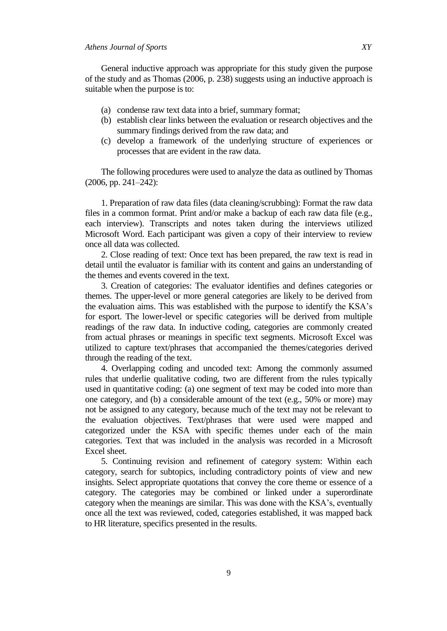#### *Athens Journal of Sports XY*

General inductive approach was appropriate for this study given the purpose of the study and as Thomas (2006, p. 238) suggests using an inductive approach is suitable when the purpose is to:

- (a) condense raw text data into a brief, summary format;
- (b) establish clear links between the evaluation or research objectives and the summary findings derived from the raw data; and
- (c) develop a framework of the underlying structure of experiences or processes that are evident in the raw data.

The following procedures were used to analyze the data as outlined by Thomas (2006, pp. 241–242):

1. Preparation of raw data files (data cleaning/scrubbing): Format the raw data files in a common format. Print and/or make a backup of each raw data file (e.g., each interview). Transcripts and notes taken during the interviews utilized Microsoft Word. Each participant was given a copy of their interview to review once all data was collected.

2. Close reading of text: Once text has been prepared, the raw text is read in detail until the evaluator is familiar with its content and gains an understanding of the themes and events covered in the text.

3. Creation of categories: The evaluator identifies and defines categories or themes. The upper-level or more general categories are likely to be derived from the evaluation aims. This was established with the purpose to identify the KSA's for esport. The lower-level or specific categories will be derived from multiple readings of the raw data. In inductive coding, categories are commonly created from actual phrases or meanings in specific text segments. Microsoft Excel was utilized to capture text/phrases that accompanied the themes/categories derived through the reading of the text.

4. Overlapping coding and uncoded text: Among the commonly assumed rules that underlie qualitative coding, two are different from the rules typically used in quantitative coding: (a) one segment of text may be coded into more than one category, and (b) a considerable amount of the text (e.g., 50% or more) may not be assigned to any category, because much of the text may not be relevant to the evaluation objectives. Text/phrases that were used were mapped and categorized under the KSA with specific themes under each of the main categories. Text that was included in the analysis was recorded in a Microsoft Excel sheet.

5. Continuing revision and refinement of category system: Within each category, search for subtopics, including contradictory points of view and new insights. Select appropriate quotations that convey the core theme or essence of a category. The categories may be combined or linked under a superordinate category when the meanings are similar. This was done with the KSA's, eventually once all the text was reviewed, coded, categories established, it was mapped back to HR literature, specifics presented in the results.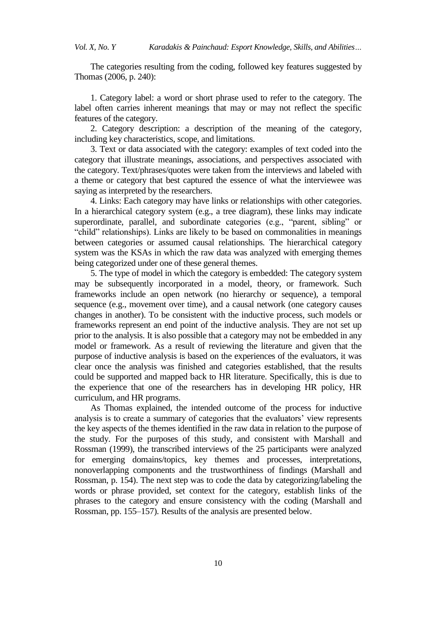*Vol. X, No. Y Karadakis & Painchaud: Esport Knowledge, Skills, and Abilities…*

The categories resulting from the coding, followed key features suggested by Thomas (2006, p. 240):

1. Category label: a word or short phrase used to refer to the category. The label often carries inherent meanings that may or may not reflect the specific features of the category.

2. Category description: a description of the meaning of the category, including key characteristics, scope, and limitations.

3. Text or data associated with the category: examples of text coded into the category that illustrate meanings, associations, and perspectives associated with the category. Text/phrases/quotes were taken from the interviews and labeled with a theme or category that best captured the essence of what the interviewee was saying as interpreted by the researchers.

4. Links: Each category may have links or relationships with other categories. In a hierarchical category system (e.g., a tree diagram), these links may indicate superordinate, parallel, and subordinate categories (e.g., "parent, sibling" or "child" relationships). Links are likely to be based on commonalities in meanings between categories or assumed causal relationships. The hierarchical category system was the KSAs in which the raw data was analyzed with emerging themes being categorized under one of these general themes.

5. The type of model in which the category is embedded: The category system may be subsequently incorporated in a model, theory, or framework. Such frameworks include an open network (no hierarchy or sequence), a temporal sequence (e.g., movement over time), and a causal network (one category causes changes in another). To be consistent with the inductive process, such models or frameworks represent an end point of the inductive analysis. They are not set up prior to the analysis. It is also possible that a category may not be embedded in any model or framework. As a result of reviewing the literature and given that the purpose of inductive analysis is based on the experiences of the evaluators, it was clear once the analysis was finished and categories established, that the results could be supported and mapped back to HR literature. Specifically, this is due to the experience that one of the researchers has in developing HR policy, HR curriculum, and HR programs.

As Thomas explained, the intended outcome of the process for inductive analysis is to create a summary of categories that the evaluators' view represents the key aspects of the themes identified in the raw data in relation to the purpose of the study. For the purposes of this study, and consistent with Marshall and Rossman (1999), the transcribed interviews of the 25 participants were analyzed for emerging domains/topics, key themes and processes, interpretations, nonoverlapping components and the trustworthiness of findings (Marshall and Rossman, p. 154). The next step was to code the data by categorizing/labeling the words or phrase provided, set context for the category, establish links of the phrases to the category and ensure consistency with the coding (Marshall and Rossman, pp. 155–157). Results of the analysis are presented below.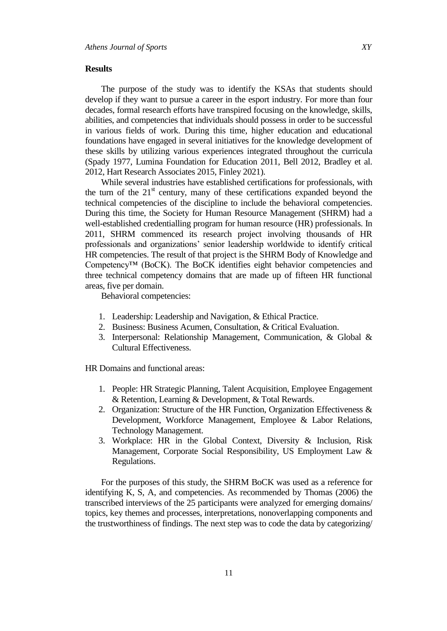#### **Results**

The purpose of the study was to identify the KSAs that students should develop if they want to pursue a career in the esport industry. For more than four decades, formal research efforts have transpired focusing on the knowledge, skills, abilities, and competencies that individuals should possess in order to be successful in various fields of work. During this time, higher education and educational foundations have engaged in several initiatives for the knowledge development of these skills by utilizing various experiences integrated throughout the curricula (Spady 1977, Lumina Foundation for Education 2011, Bell 2012, Bradley et al. 2012, Hart Research Associates 2015, Finley 2021).

While several industries have established certifications for professionals, with the turn of the  $21<sup>st</sup>$  century, many of these certifications expanded beyond the technical competencies of the discipline to include the behavioral competencies. During this time, the Society for Human Resource Management (SHRM) had a well-established credentialling program for human resource (HR) professionals. In 2011, SHRM commenced its research project involving thousands of HR professionals and organizations' senior leadership worldwide to identify critical HR competencies. The result of that project is the SHRM Body of Knowledge and Competency™ (BoCK). The BoCK identifies eight behavior competencies and three technical competency domains that are made up of fifteen HR functional areas, five per domain.

Behavioral competencies:

- 1. Leadership: Leadership and Navigation, & Ethical Practice.
- 2. Business: Business Acumen, Consultation, & Critical Evaluation.
- 3. Interpersonal: Relationship Management, Communication, & Global & Cultural Effectiveness.

HR Domains and functional areas:

- 1. People: HR Strategic Planning, Talent Acquisition, Employee Engagement & Retention, Learning & Development, & Total Rewards.
- 2. Organization: Structure of the HR Function, Organization Effectiveness & Development, Workforce Management, Employee & Labor Relations, Technology Management.
- 3. Workplace: HR in the Global Context, Diversity & Inclusion, Risk Management, Corporate Social Responsibility, US Employment Law & Regulations.

For the purposes of this study, the SHRM BoCK was used as a reference for identifying K, S, A, and competencies. As recommended by Thomas (2006) the transcribed interviews of the 25 participants were analyzed for emerging domains/ topics, key themes and processes, interpretations, nonoverlapping components and the trustworthiness of findings. The next step was to code the data by categorizing/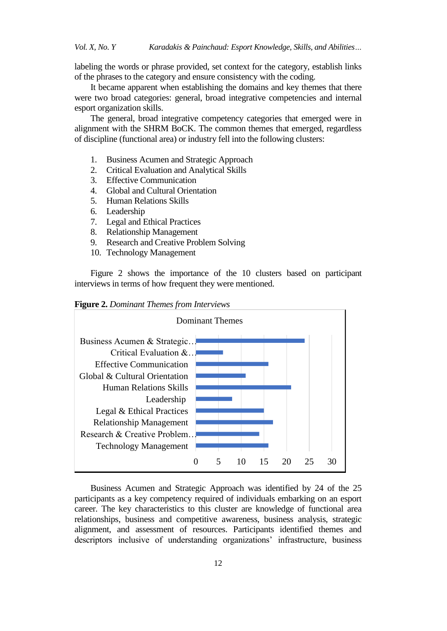labeling the words or phrase provided, set context for the category, establish links of the phrases to the category and ensure consistency with the coding.

It became apparent when establishing the domains and key themes that there were two broad categories: general, broad integrative competencies and internal esport organization skills.

The general, broad integrative competency categories that emerged were in alignment with the SHRM BoCK. The common themes that emerged, regardless of discipline (functional area) or industry fell into the following clusters:

- 1. Business Acumen and Strategic Approach
- 2. Critical Evaluation and Analytical Skills
- 3. Effective Communication
- 4. Global and Cultural Orientation
- 5. Human Relations Skills
- 6. Leadership
- 7. Legal and Ethical Practices
- 8. Relationship Management
- 9. Research and Creative Problem Solving
- 10. Technology Management

Figure 2 shows the importance of the 10 clusters based on participant interviews in terms of how frequent they were mentioned.

**Figure 2.** *Dominant Themes from Interviews*



Business Acumen and Strategic Approach was identified by 24 of the 25 participants as a key competency required of individuals embarking on an esport career. The key characteristics to this cluster are knowledge of functional area relationships, business and competitive awareness, business analysis, strategic alignment, and assessment of resources. Participants identified themes and descriptors inclusive of understanding organizations' infrastructure, business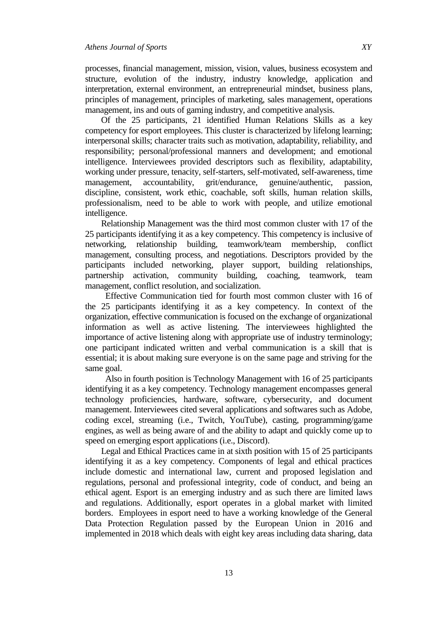processes, financial management, mission, vision, values, business ecosystem and structure, evolution of the industry, industry knowledge, application and interpretation, external environment, an entrepreneurial mindset, business plans, principles of management, principles of marketing, sales management, operations management, ins and outs of gaming industry, and competitive analysis.

Of the 25 participants, 21 identified Human Relations Skills as a key competency for esport employees. This cluster is characterized by lifelong learning; interpersonal skills; character traits such as motivation, adaptability, reliability, and responsibility; personal/professional manners and development; and emotional intelligence. Interviewees provided descriptors such as flexibility, adaptability, working under pressure, tenacity, self-starters, self-motivated, self-awareness, time management, accountability, grit/endurance, genuine/authentic, passion, discipline, consistent, work ethic, coachable, soft skills, human relation skills, professionalism, need to be able to work with people, and utilize emotional intelligence.

Relationship Management was the third most common cluster with 17 of the 25 participants identifying it as a key competency. This competency is inclusive of networking, relationship building, teamwork/team membership, conflict management, consulting process, and negotiations. Descriptors provided by the participants included networking, player support, building relationships, partnership activation, community building, coaching, teamwork, team management, conflict resolution, and socialization.

Effective Communication tied for fourth most common cluster with 16 of the 25 participants identifying it as a key competency. In context of the organization, effective communication is focused on the exchange of organizational information as well as active listening. The interviewees highlighted the importance of active listening along with appropriate use of industry terminology; one participant indicated written and verbal communication is a skill that is essential; it is about making sure everyone is on the same page and striving for the same goal.

Also in fourth position is Technology Management with 16 of 25 participants identifying it as a key competency. Technology management encompasses general technology proficiencies, hardware, software, cybersecurity, and document management. Interviewees cited several applications and softwares such as Adobe, coding excel, streaming (i.e., Twitch, YouTube), casting, programming/game engines, as well as being aware of and the ability to adapt and quickly come up to speed on emerging esport applications (i.e., Discord).

Legal and Ethical Practices came in at sixth position with 15 of 25 participants identifying it as a key competency. Components of legal and ethical practices include domestic and international law, current and proposed legislation and regulations, personal and professional integrity, code of conduct, and being an ethical agent. Esport is an emerging industry and as such there are limited laws and regulations. Additionally, esport operates in a global market with limited borders. Employees in esport need to have a working knowledge of the General Data Protection Regulation passed by the European Union in 2016 and implemented in 2018 which deals with eight key areas including data sharing, data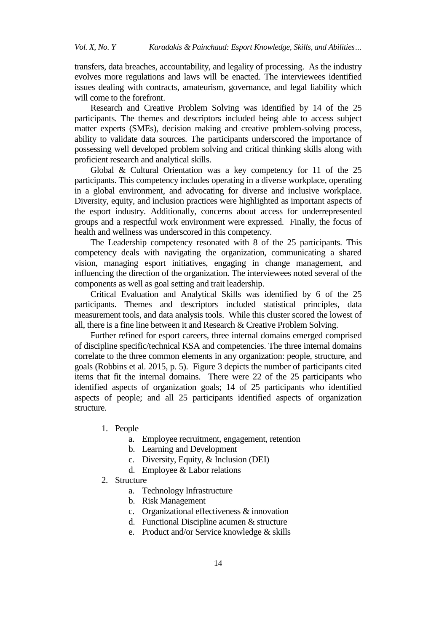transfers, data breaches, accountability, and legality of processing. As the industry evolves more regulations and laws will be enacted. The interviewees identified issues dealing with contracts, amateurism, governance, and legal liability which will come to the forefront.

Research and Creative Problem Solving was identified by 14 of the 25 participants. The themes and descriptors included being able to access subject matter experts (SMEs), decision making and creative problem-solving process, ability to validate data sources. The participants underscored the importance of possessing well developed problem solving and critical thinking skills along with proficient research and analytical skills.

Global & Cultural Orientation was a key competency for 11 of the 25 participants. This competency includes operating in a diverse workplace, operating in a global environment, and advocating for diverse and inclusive workplace. Diversity, equity, and inclusion practices were highlighted as important aspects of the esport industry. Additionally, concerns about access for underrepresented groups and a respectful work environment were expressed. Finally, the focus of health and wellness was underscored in this competency.

The Leadership competency resonated with 8 of the 25 participants. This competency deals with navigating the organization, communicating a shared vision, managing esport initiatives, engaging in change management, and influencing the direction of the organization. The interviewees noted several of the components as well as goal setting and trait leadership.

Critical Evaluation and Analytical Skills was identified by 6 of the 25 participants. Themes and descriptors included statistical principles, data measurement tools, and data analysis tools. While this cluster scored the lowest of all, there is a fine line between it and Research & Creative Problem Solving.

Further refined for esport careers, three internal domains emerged comprised of discipline specific/technical KSA and competencies. The three internal domains correlate to the three common elements in any organization: people, structure, and goals (Robbins et al. 2015, p. 5). Figure 3 depicts the number of participants cited items that fit the internal domains. There were 22 of the 25 participants who identified aspects of organization goals; 14 of 25 participants who identified aspects of people; and all 25 participants identified aspects of organization structure.

- 1. People
	- a. Employee recruitment, engagement, retention
	- b. Learning and Development
	- c. Diversity, Equity, & Inclusion (DEI)
	- d. Employee & Labor relations
- 2. Structure
	- a. Technology Infrastructure
	- b. Risk Management
	- c. Organizational effectiveness & innovation
	- d. Functional Discipline acumen & structure
	- e. Product and/or Service knowledge & skills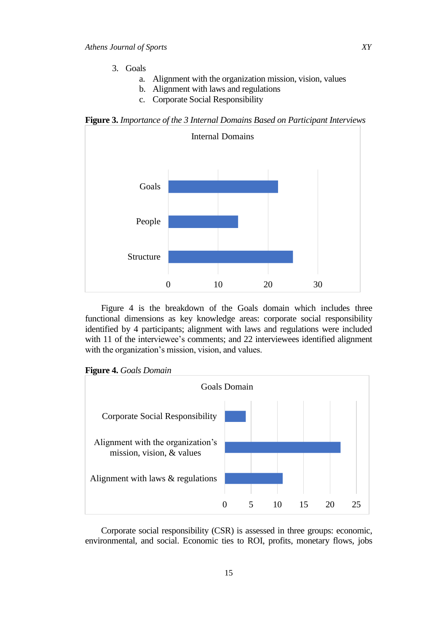- 3. Goals
	- a. Alignment with the organization mission, vision, values
	- b. Alignment with laws and regulations
	- c. Corporate Social Responsibility

**Figure 3.** *Importance of the 3 Internal Domains Based on Participant Interviews*



Figure 4 is the breakdown of the Goals domain which includes three functional dimensions as key knowledge areas: corporate social responsibility identified by 4 participants; alignment with laws and regulations were included with 11 of the interviewee's comments; and 22 interviewees identified alignment with the organization's mission, vision, and values.





Corporate social responsibility (CSR) is assessed in three groups: economic, environmental, and social. Economic ties to ROI, profits, monetary flows, jobs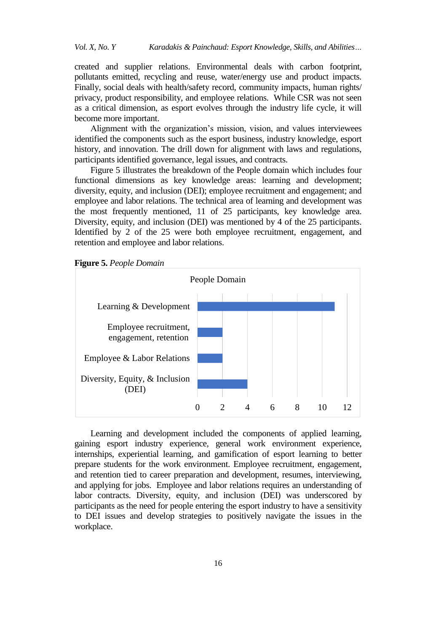created and supplier relations. Environmental deals with carbon footprint, pollutants emitted, recycling and reuse, water/energy use and product impacts. Finally, social deals with health/safety record, community impacts, human rights/ privacy, product responsibility, and employee relations. While CSR was not seen as a critical dimension, as esport evolves through the industry life cycle, it will become more important.

Alignment with the organization's mission, vision, and values interviewees identified the components such as the esport business, industry knowledge, esport history, and innovation. The drill down for alignment with laws and regulations, participants identified governance, legal issues, and contracts.

Figure 5 illustrates the breakdown of the People domain which includes four functional dimensions as key knowledge areas: learning and development; diversity, equity, and inclusion (DEI); employee recruitment and engagement; and employee and labor relations. The technical area of learning and development was the most frequently mentioned, 11 of 25 participants, key knowledge area. Diversity, equity, and inclusion (DEI) was mentioned by 4 of the 25 participants. Identified by 2 of the 25 were both employee recruitment, engagement, and retention and employee and labor relations.





Learning and development included the components of applied learning, gaining esport industry experience, general work environment experience, internships, experiential learning, and gamification of esport learning to better prepare students for the work environment. Employee recruitment, engagement, and retention tied to career preparation and development, resumes, interviewing, and applying for jobs. Employee and labor relations requires an understanding of labor contracts. Diversity, equity, and inclusion (DEI) was underscored by participants as the need for people entering the esport industry to have a sensitivity to DEI issues and develop strategies to positively navigate the issues in the workplace.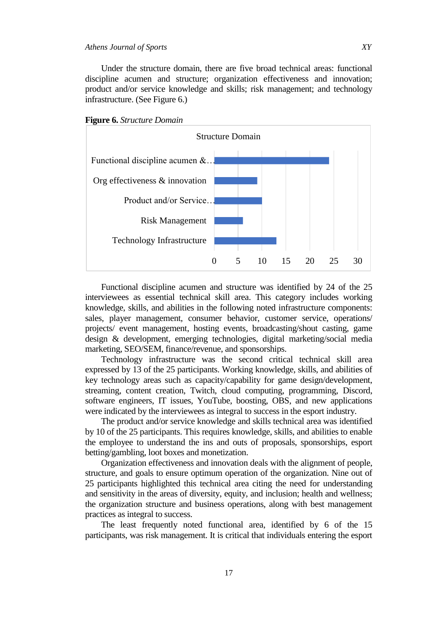Under the structure domain, there are five broad technical areas: functional discipline acumen and structure; organization effectiveness and innovation; product and/or service knowledge and skills; risk management; and technology infrastructure. (See Figure 6.)





Functional discipline acumen and structure was identified by 24 of the 25 interviewees as essential technical skill area. This category includes working knowledge, skills, and abilities in the following noted infrastructure components: sales, player management, consumer behavior, customer service, operations/ projects/ event management, hosting events, broadcasting/shout casting, game design & development, emerging technologies, digital marketing/social media marketing, SEO/SEM, finance/revenue, and sponsorships.

Technology infrastructure was the second critical technical skill area expressed by 13 of the 25 participants. Working knowledge, skills, and abilities of key technology areas such as capacity/capability for game design/development, streaming, content creation, Twitch, cloud computing, programming, Discord, software engineers, IT issues, YouTube, boosting, OBS, and new applications were indicated by the interviewees as integral to success in the esport industry.

The product and/or service knowledge and skills technical area was identified by 10 of the 25 participants. This requires knowledge, skills, and abilities to enable the employee to understand the ins and outs of proposals, sponsorships, esport betting/gambling, loot boxes and monetization.

Organization effectiveness and innovation deals with the alignment of people, structure, and goals to ensure optimum operation of the organization. Nine out of 25 participants highlighted this technical area citing the need for understanding and sensitivity in the areas of diversity, equity, and inclusion; health and wellness; the organization structure and business operations, along with best management practices as integral to success.

The least frequently noted functional area, identified by 6 of the 15 participants, was risk management. It is critical that individuals entering the esport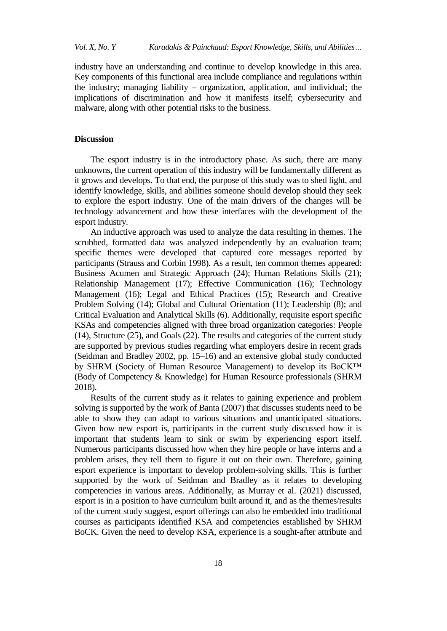industry have an understanding and continue to develop knowledge in this area. Key components of this functional area include compliance and regulations within the industry; managing liability – organization, application, and individual; the implications of discrimination and how it manifests itself; cybersecurity and malware, along with other potential risks to the business.

### **Discussion**

The esport industry is in the introductory phase. As such, there are many unknowns, the current operation of this industry will be fundamentally different as it grows and develops. To that end, the purpose of this study was to shed light, and identify knowledge, skills, and abilities someone should develop should they seek to explore the esport industry. One of the main drivers of the changes will be technology advancement and how these interfaces with the development of the esport industry.

An inductive approach was used to analyze the data resulting in themes. The scrubbed, formatted data was analyzed independently by an evaluation team; specific themes were developed that captured core messages reported by participants (Strauss and Corbin 1998). As a result, ten common themes appeared: Business Acumen and Strategic Approach (24); Human Relations Skills (21); Relationship Management (17); Effective Communication (16); Technology Management (16); Legal and Ethical Practices (15); Research and Creative Problem Solving (14); Global and Cultural Orientation (11); Leadership (8); and Critical Evaluation and Analytical Skills (6). Additionally, requisite esport specific KSAs and competencies aligned with three broad organization categories: People (14), Structure (25), and Goals (22). The results and categories of the current study are supported by previous studies regarding what employers desire in recent grads (Seidman and Bradley 2002, pp. 15–16) and an extensive global study conducted by SHRM (Society of Human Resource Management) to develop its BoCK™ (Body of Competency & Knowledge) for Human Resource professionals (SHRM 2018).

Results of the current study as it relates to gaining experience and problem solving is supported by the work of Banta (2007) that discusses students need to be able to show they can adapt to various situations and unanticipated situations. Given how new esport is, participants in the current study discussed how it is important that students learn to sink or swim by experiencing esport itself. Numerous participants discussed how when they hire people or have interns and a problem arises, they tell them to figure it out on their own. Therefore, gaining esport experience is important to develop problem-solving skills. This is further supported by the work of Seidman and Bradley as it relates to developing competencies in various areas. Additionally, as Murray et al. (2021) discussed, esport is in a position to have curriculum built around it, and as the themes/results of the current study suggest, esport offerings can also be embedded into traditional courses as participants identified KSA and competencies established by SHRM BoCK. Given the need to develop KSA, experience is a sought-after attribute and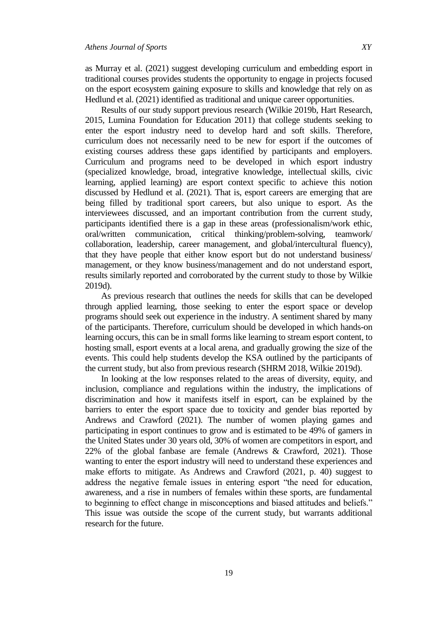as Murray et al. (2021) suggest developing curriculum and embedding esport in traditional courses provides students the opportunity to engage in projects focused on the esport ecosystem gaining exposure to skills and knowledge that rely on as Hedlund et al. (2021) identified as traditional and unique career opportunities.

Results of our study support previous research (Wilkie 2019b, Hart Research, 2015, Lumina Foundation for Education 2011) that college students seeking to enter the esport industry need to develop hard and soft skills. Therefore, curriculum does not necessarily need to be new for esport if the outcomes of existing courses address these gaps identified by participants and employers. Curriculum and programs need to be developed in which esport industry (specialized knowledge, broad, integrative knowledge, intellectual skills, civic learning, applied learning) are esport context specific to achieve this notion discussed by Hedlund et al. (2021). That is, esport careers are emerging that are being filled by traditional sport careers, but also unique to esport. As the interviewees discussed, and an important contribution from the current study, participants identified there is a gap in these areas (professionalism/work ethic, oral/written communication, critical thinking/problem-solving, teamwork/ collaboration, leadership, career management, and global/intercultural fluency), that they have people that either know esport but do not understand business/ management, or they know business/management and do not understand esport, results similarly reported and corroborated by the current study to those by Wilkie 2019d).

As previous research that outlines the needs for skills that can be developed through applied learning, those seeking to enter the esport space or develop programs should seek out experience in the industry. A sentiment shared by many of the participants. Therefore, curriculum should be developed in which hands-on learning occurs, this can be in small forms like learning to stream esport content, to hosting small, esport events at a local arena, and gradually growing the size of the events. This could help students develop the KSA outlined by the participants of the current study, but also from previous research (SHRM 2018, Wilkie 2019d).

In looking at the low responses related to the areas of diversity, equity, and inclusion, compliance and regulations within the industry, the implications of discrimination and how it manifests itself in esport, can be explained by the barriers to enter the esport space due to toxicity and gender bias reported by Andrews and Crawford (2021). The number of women playing games and participating in esport continues to grow and is estimated to be 49% of gamers in the United States under 30 years old, 30% of women are competitors in esport, and 22% of the global fanbase are female (Andrews & Crawford, 2021). Those wanting to enter the esport industry will need to understand these experiences and make efforts to mitigate. As Andrews and Crawford (2021, p. 40) suggest to address the negative female issues in entering esport "the need for education, awareness, and a rise in numbers of females within these sports, are fundamental to beginning to effect change in misconceptions and biased attitudes and beliefs." This issue was outside the scope of the current study, but warrants additional research for the future.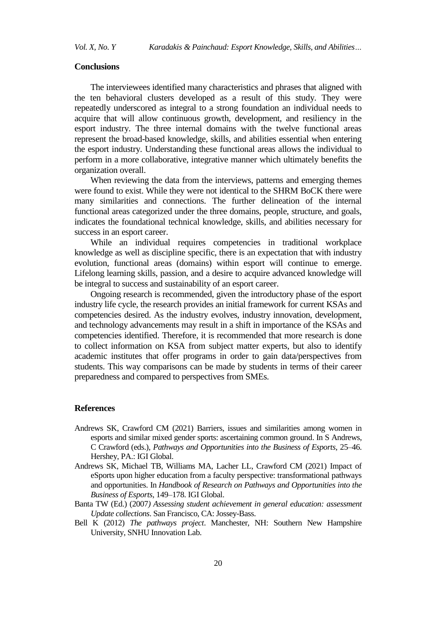#### **Conclusions**

The interviewees identified many characteristics and phrases that aligned with the ten behavioral clusters developed as a result of this study. They were repeatedly underscored as integral to a strong foundation an individual needs to acquire that will allow continuous growth, development, and resiliency in the esport industry. The three internal domains with the twelve functional areas represent the broad-based knowledge, skills, and abilities essential when entering the esport industry. Understanding these functional areas allows the individual to perform in a more collaborative, integrative manner which ultimately benefits the organization overall.

When reviewing the data from the interviews, patterns and emerging themes were found to exist. While they were not identical to the SHRM BoCK there were many similarities and connections. The further delineation of the internal functional areas categorized under the three domains, people, structure, and goals, indicates the foundational technical knowledge, skills, and abilities necessary for success in an esport career.

While an individual requires competencies in traditional workplace knowledge as well as discipline specific, there is an expectation that with industry evolution, functional areas (domains) within esport will continue to emerge. Lifelong learning skills, passion, and a desire to acquire advanced knowledge will be integral to success and sustainability of an esport career.

Ongoing research is recommended, given the introductory phase of the esport industry life cycle, the research provides an initial framework for current KSAs and competencies desired. As the industry evolves, industry innovation, development, and technology advancements may result in a shift in importance of the KSAs and competencies identified. Therefore, it is recommended that more research is done to collect information on KSA from subject matter experts, but also to identify academic institutes that offer programs in order to gain data/perspectives from students. This way comparisons can be made by students in terms of their career preparedness and compared to perspectives from SMEs.

#### **References**

- Andrews SK, Crawford CM (2021) Barriers, issues and similarities among women in esports and similar mixed gender sports: ascertaining common ground. In S Andrews, C Crawford (eds.), *Pathways and Opportunities into the Business of Esports,* 25–46. Hershey, PA.: IGI Global.
- Andrews SK, Michael TB, Williams MA, Lacher LL, Crawford CM (2021) Impact of eSports upon higher education from a faculty perspective: transformational pathways and opportunities. In *Handbook of Research on Pathways and Opportunities into the Business of Esports*, 149–178. IGI Global.
- Banta TW (Ed.) (2007*) Assessing student achievement in general education: assessment Update collections*. San Francisco, CA: Jossey-Bass.
- Bell K (2012) *The pathways project*. Manchester, NH: Southern New Hampshire University, SNHU Innovation Lab.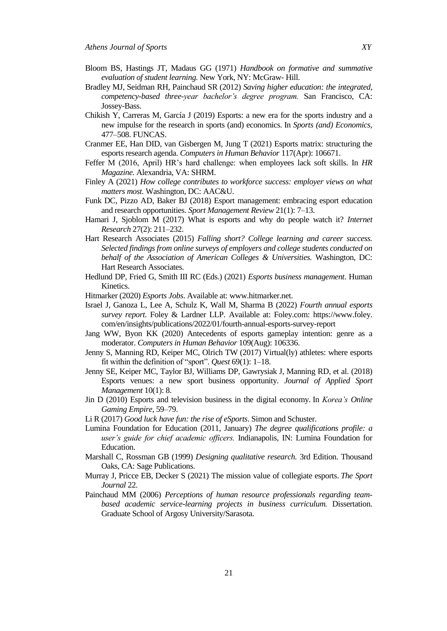- Bloom BS, Hastings JT, Madaus GG (1971) *Handbook on formative and summative evaluation of student learning.* New York, NY: McGraw- Hill.
- Bradley MJ, Seidman RH, Painchaud SR (2012) *Saving higher education: the integrated, competency-based three-year bachelor's degree program.* San Francisco, CA: Jossey-Bass.
- Chikish Y, Carreras M, García J (2019) Esports: a new era for the sports industry and a new impulse for the research in sports (and) economics. In *Sports (and) Economics*, 477–508. FUNCAS.
- Cranmer EE, Han DID, van Gisbergen M, Jung T (2021) Esports matrix: structuring the esports research agenda. *Computers in Human Behavior* 117(Apr): 106671.
- Feffer M (2016, April) HR's hard challenge: when employees lack soft skills. In *HR Magazine.* Alexandria, VA: SHRM.
- Finley A (2021) *How college contributes to workforce success: employer views on what matters most.* Washington, DC: AAC&U.
- Funk DC, Pizzo AD, Baker BJ (2018) Esport management: embracing esport education and research opportunities. *Sport Management Review* 21(1): 7–13.
- Hamari J, Sjoblom M (2017) What is esports and why do people watch it? *Internet Research* 27(2): 211–232.
- Hart Research Associates (2015) *Falling short? College learning and career success. Selected findings from online surveys of employers and college students conducted on behalf of the Association of American Colleges & Universities.* Washington, DC: Hart Research Associates.
- Hedlund DP, Fried G, Smith III RC (Eds.) (2021) *Esports business management*. Human Kinetics.
- Hitmarker (2020) *Esports Jobs*. Available at[: www.hitmarker.net.](about:blank)
- Israel J, Ganoza L, Lee A, Schulz K, Wall M, Sharma B (2022) *Fourth annual esports survey report*. Foley & Lardner LLP. Available at: Foley.com: https://www.foley. com/en/insights/publications/2022/01/fourth-annual-esports-survey-report
- Jang WW, Byon KK (2020) Antecedents of esports gameplay intention: genre as a moderator. *Computers in Human Behavior* 109(Aug): 106336.
- Jenny S, Manning RD, Keiper MC, Olrich TW (2017) Virtual(ly) athletes: where esports fit within the definition of "sport". *Quest* 69(1): 1–18.
- Jenny SE, Keiper MC, Taylor BJ, Williams DP, Gawrysiak J, Manning RD, et al. (2018) Esports venues: a new sport business opportunity. *Journal of Applied Sport Management* 10(1): 8.
- Jin D (2010) Esports and television business in the digital economy. In *Korea's Online Gaming Empire*, 59–79.
- Li R (2017) *Good luck have fun: the rise of eSports*. Simon and Schuster.
- Lumina Foundation for Education (2011, January) *The degree qualifications profile: a user's guide for chief academic officers.* Indianapolis, IN: Lumina Foundation for Education.
- Marshall C, Rossman GB (1999) *Designing qualitative research.* 3rd Edition. Thousand Oaks, CA: Sage Publications.
- Murray J, Pricce EB, Decker S (2021) The mission value of collegiate esports. *The Sport Journal* 22.
- Painchaud MM (2006) *Perceptions of human resource professionals regarding teambased academic service-learning projects in business curriculum.* Dissertation. Graduate School of Argosy University/Sarasota.